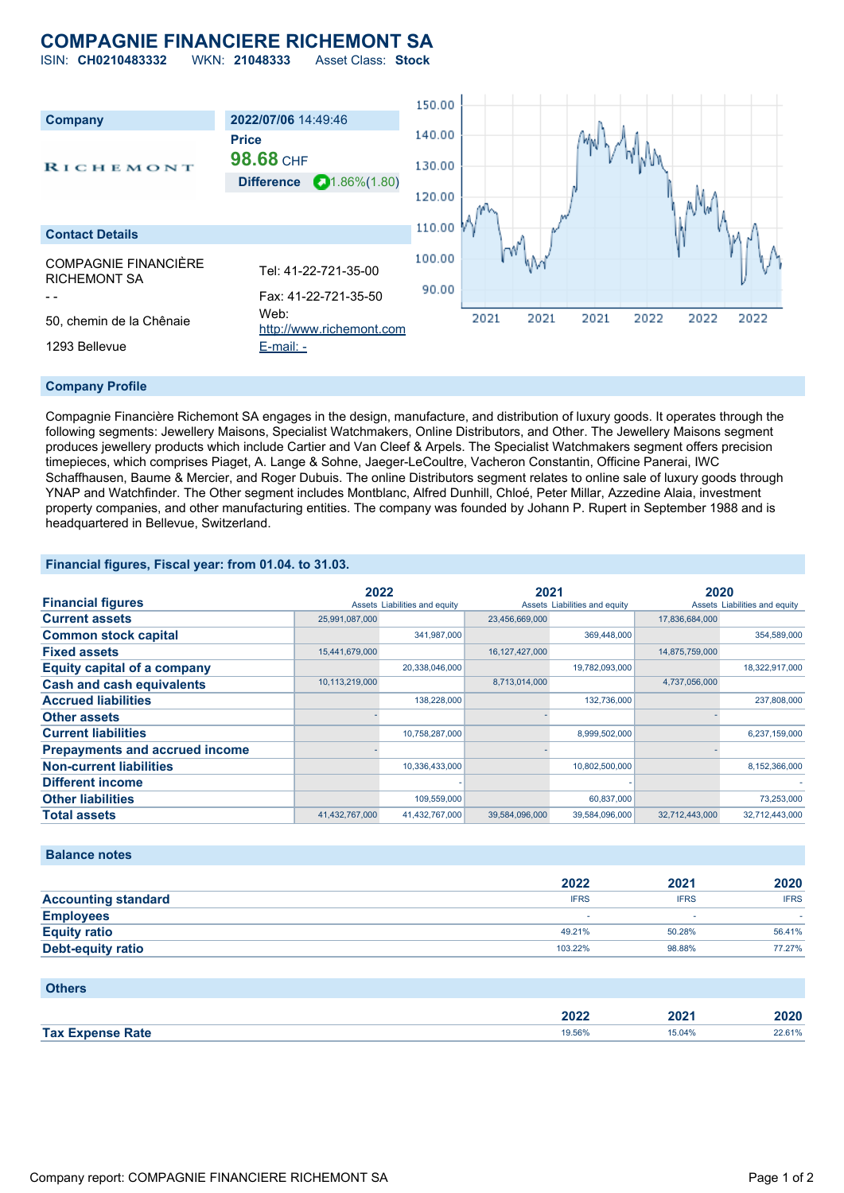# **COMPAGNIE FINANCIERE RICHEMONT SA**

ISIN: **CH0210483332** WKN: **21048333** Asset Class: **Stock**



## **Company Profile**

Compagnie Financière Richemont SA engages in the design, manufacture, and distribution of luxury goods. It operates through the following segments: Jewellery Maisons, Specialist Watchmakers, Online Distributors, and Other. The Jewellery Maisons segment produces jewellery products which include Cartier and Van Cleef & Arpels. The Specialist Watchmakers segment offers precision timepieces, which comprises Piaget, A. Lange & Sohne, Jaeger-LeCoultre, Vacheron Constantin, Officine Panerai, IWC Schaffhausen, Baume & Mercier, and Roger Dubuis. The online Distributors segment relates to online sale of luxury goods through YNAP and Watchfinder. The Other segment includes Montblanc, Alfred Dunhill, Chloé, Peter Millar, Azzedine Alaia, investment property companies, and other manufacturing entities. The company was founded by Johann P. Rupert in September 1988 and is headquartered in Bellevue, Switzerland.

#### **Financial figures, Fiscal year: from 01.04. to 31.03.**

|                                       | 2022           |                               | 2021              |                               | 2020           |                               |
|---------------------------------------|----------------|-------------------------------|-------------------|-------------------------------|----------------|-------------------------------|
| <b>Financial figures</b>              |                | Assets Liabilities and equity |                   | Assets Liabilities and equity |                | Assets Liabilities and equity |
| <b>Current assets</b>                 | 25,991,087,000 |                               | 23,456,669,000    |                               | 17,836,684,000 |                               |
| <b>Common stock capital</b>           |                | 341,987,000                   |                   | 369,448,000                   |                | 354,589,000                   |
| <b>Fixed assets</b>                   | 15,441,679,000 |                               | 16, 127, 427, 000 |                               | 14,875,759,000 |                               |
| <b>Equity capital of a company</b>    |                | 20,338,046,000                |                   | 19,782,093,000                |                | 18,322,917,000                |
| <b>Cash and cash equivalents</b>      | 10,113,219,000 |                               | 8,713,014,000     |                               | 4,737,056,000  |                               |
| <b>Accrued liabilities</b>            |                | 138.228.000                   |                   | 132.736.000                   |                | 237,808,000                   |
| <b>Other assets</b>                   |                |                               |                   |                               |                |                               |
| <b>Current liabilities</b>            |                | 10,758,287,000                |                   | 8,999,502,000                 |                | 6,237,159,000                 |
| <b>Prepayments and accrued income</b> |                |                               |                   |                               |                |                               |
| <b>Non-current liabilities</b>        |                | 10,336,433,000                |                   | 10,802,500,000                |                | 8,152,366,000                 |
| <b>Different income</b>               |                |                               |                   |                               |                |                               |
| <b>Other liabilities</b>              |                | 109,559,000                   |                   | 60,837,000                    |                | 73,253,000                    |
| <b>Total assets</b>                   | 41,432,767,000 | 41,432,767,000                | 39,584,096,000    | 39,584,096,000                | 32,712,443,000 | 32,712,443,000                |

#### **Balance notes**

|                            | 2022        | 2021        | 2020        |
|----------------------------|-------------|-------------|-------------|
| <b>Accounting standard</b> | <b>IFRS</b> | <b>IFRS</b> | <b>IFRS</b> |
| <b>Employees</b>           |             |             |             |
| <b>Equity ratio</b>        | 49.21%      | 50.28%      | 56.41%      |
| <b>Debt-equity ratio</b>   | 103.22%     | 98.88%      | 77.27%      |
|                            |             |             |             |

### **Others**

|             | 2022<br>ZUZZ |      | חרחו   |
|-------------|--------------|------|--------|
| <b>Tax</b>  | 9.56%        | 504% | 22.61% |
| <b>Rate</b> | .            |      |        |